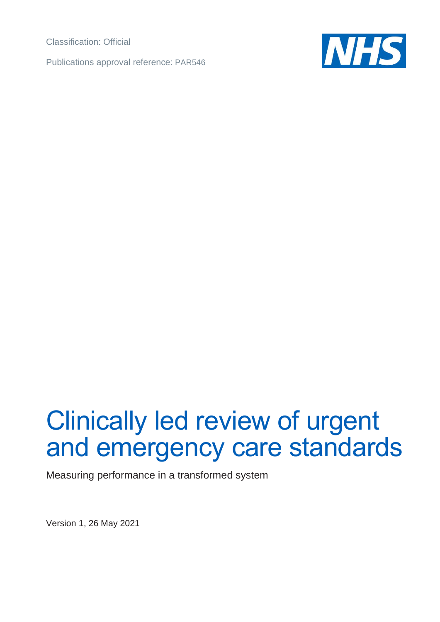Classification: Official

Publications approval reference: PAR546



# Clinically led review of urgent and emergency care standards

Measuring performance in a transformed system

Version 1, 26 May 2021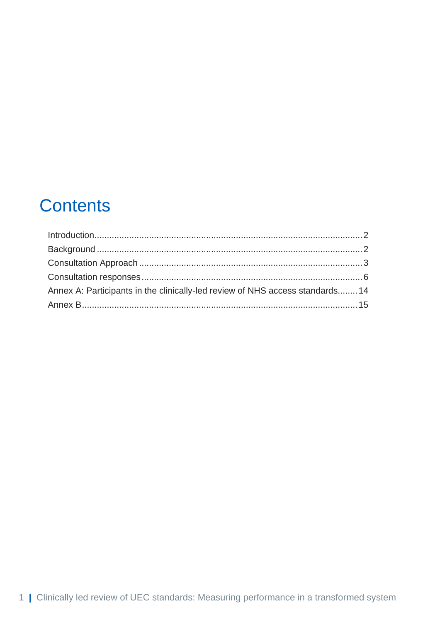# **Contents**

| Annex A: Participants in the clinically-led review of NHS access standards14 |  |
|------------------------------------------------------------------------------|--|
|                                                                              |  |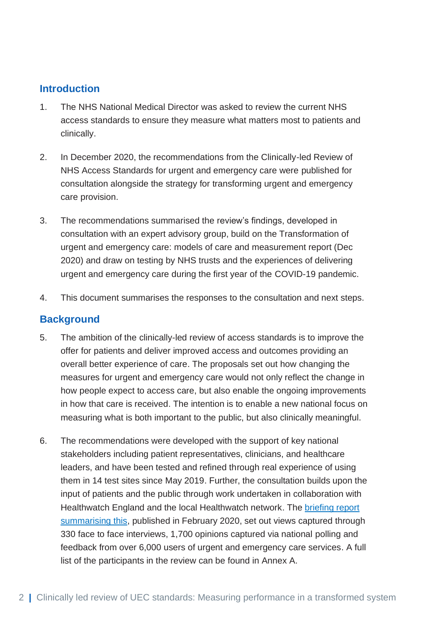# <span id="page-2-0"></span>**Introduction**

- 1. The NHS National Medical Director was asked to review the current NHS access standards to ensure they measure what matters most to patients and clinically.
- 2. In December 2020, the recommendations from the Clinically-led Review of NHS Access Standards for urgent and emergency care were published for consultation alongside the strategy for transforming urgent and emergency care provision.
- 3. The recommendations summarised the review's findings, developed in consultation with an expert advisory group, build on the Transformation of urgent and emergency care: models of care and measurement report (Dec 2020) and draw on testing by NHS trusts and the experiences of delivering urgent and emergency care during the first year of the COVID-19 pandemic.
- 4. This document summarises the responses to the consultation and next steps.

## <span id="page-2-1"></span>**Background**

- 5. The ambition of the clinically-led review of access standards is to improve the offer for patients and deliver improved access and outcomes providing an overall better experience of care. The proposals set out how changing the measures for urgent and emergency care would not only reflect the change in how people expect to access care, but also enable the ongoing improvements in how that care is received. The intention is to enable a new national focus on measuring what is both important to the public, but also clinically meaningful.
- 6. The recommendations were developed with the support of key national stakeholders including patient representatives, clinicians, and healthcare leaders, and have been tested and refined through real experience of using them in 14 test sites since May 2019. Further, the consultation builds upon the input of patients and the public through work undertaken in collaboration with Healthwatch England and the local Healthwatch network. The [briefing report](https://www.healthwatch.co.uk/news/2019-10-31/people-share-what-good-ae-experience-looks)  [summarising this,](https://www.healthwatch.co.uk/news/2019-10-31/people-share-what-good-ae-experience-looks) published in February 2020, set out views captured through 330 face to face interviews, 1,700 opinions captured via national polling and feedback from over 6,000 users of urgent and emergency care services. A full list of the participants in the review can be found in Annex A.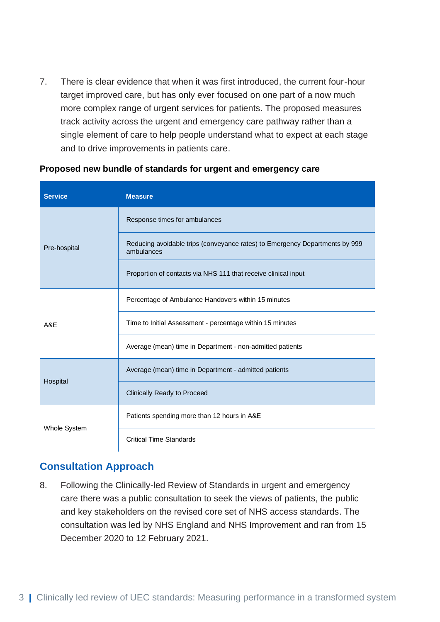7. There is clear evidence that when it was first introduced, the current four-hour target improved care, but has only ever focused on one part of a now much more complex range of urgent services for patients. The proposed measures track activity across the urgent and emergency care pathway rather than a single element of care to help people understand what to expect at each stage and to drive improvements in patients care.

| <b>Service</b> | <b>Measure</b>                                                                            |  |  |  |  |  |  |  |  |
|----------------|-------------------------------------------------------------------------------------------|--|--|--|--|--|--|--|--|
|                | Response times for ambulances                                                             |  |  |  |  |  |  |  |  |
| Pre-hospital   | Reducing avoidable trips (conveyance rates) to Emergency Departments by 999<br>ambulances |  |  |  |  |  |  |  |  |
|                | Proportion of contacts via NHS 111 that receive clinical input                            |  |  |  |  |  |  |  |  |
|                | Percentage of Ambulance Handovers within 15 minutes                                       |  |  |  |  |  |  |  |  |
| A&E            | Time to Initial Assessment - percentage within 15 minutes                                 |  |  |  |  |  |  |  |  |
|                | Average (mean) time in Department - non-admitted patients                                 |  |  |  |  |  |  |  |  |
|                | Average (mean) time in Department - admitted patients                                     |  |  |  |  |  |  |  |  |
| Hospital       | <b>Clinically Ready to Proceed</b>                                                        |  |  |  |  |  |  |  |  |
|                | Patients spending more than 12 hours in A&E                                               |  |  |  |  |  |  |  |  |
| Whole System   | <b>Critical Time Standards</b>                                                            |  |  |  |  |  |  |  |  |

#### **Proposed new bundle of standards for urgent and emergency care**

## <span id="page-3-0"></span>**Consultation Approach**

8. Following the Clinically-led Review of Standards in urgent and emergency care there was a public consultation to seek the views of patients, the public and key stakeholders on the revised core set of NHS access standards. The consultation was led by NHS England and NHS Improvement and ran from 15 December 2020 to 12 February 2021.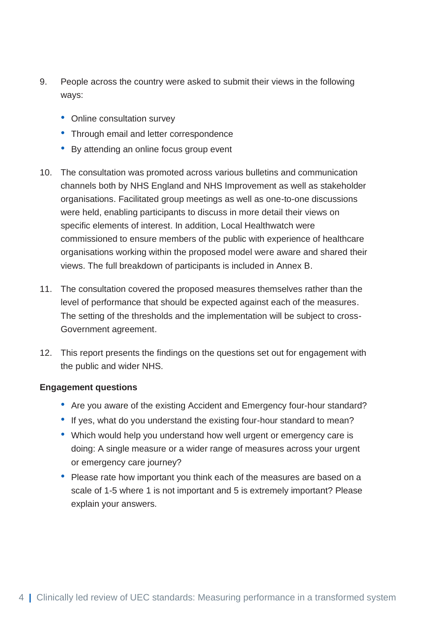- 9. People across the country were asked to submit their views in the following ways:
	- Online consultation survey
	- Through email and letter correspondence
	- By attending an online focus group event
- 10. The consultation was promoted across various bulletins and communication channels both by NHS England and NHS Improvement as well as stakeholder organisations. Facilitated group meetings as well as one-to-one discussions were held, enabling participants to discuss in more detail their views on specific elements of interest. In addition, Local Healthwatch were commissioned to ensure members of the public with experience of healthcare organisations working within the proposed model were aware and shared their views. The full breakdown of participants is included in Annex B.
- 11. The consultation covered the proposed measures themselves rather than the level of performance that should be expected against each of the measures. The setting of the thresholds and the implementation will be subject to cross-Government agreement.
- 12. This report presents the findings on the questions set out for engagement with the public and wider NHS.

#### **Engagement questions**

- Are you aware of the existing Accident and Emergency four-hour standard?
- If yes, what do you understand the existing four-hour standard to mean?
- Which would help you understand how well urgent or emergency care is doing: A single measure or a wider range of measures across your urgent or emergency care journey?
- Please rate how important you think each of the measures are based on a scale of 1-5 where 1 is not important and 5 is extremely important? Please explain your answers.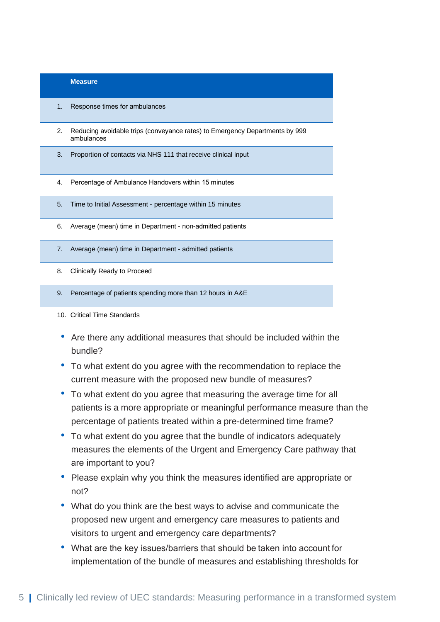#### **Measure**

- 1. Response times for ambulances
- 2. Reducing avoidable trips (conveyance rates) to Emergency Departments by 999 ambulances
- 3. Proportion of contacts via NHS 111 that receive clinical input
- 4. Percentage of Ambulance Handovers within 15 minutes
- 5. Time to Initial Assessment percentage within 15 minutes
- 6. Average (mean) time in Department non-admitted patients
- 7. Average (mean) time in Department admitted patients
- 8. Clinically Ready to Proceed
- 9. Percentage of patients spending more than 12 hours in A&E
- 10. Critical Time Standards
- Are there any additional measures that should be included within the bundle?
- To what extent do you agree with the recommendation to replace the current measure with the proposed new bundle of measures?
- To what extent do you agree that measuring the average time for all patients is a more appropriate or meaningful performance measure than the percentage of patients treated within a pre-determined time frame?
- To what extent do you agree that the bundle of indicators adequately measures the elements of the Urgent and Emergency Care pathway that are important to you?
- Please explain why you think the measures identified are appropriate or not?
- What do you think are the best ways to advise and communicate the proposed new urgent and emergency care measures to patients and visitors to urgent and emergency care departments?
- What are the key issues/barriers that should be taken into account for implementation of the bundle of measures and establishing thresholds for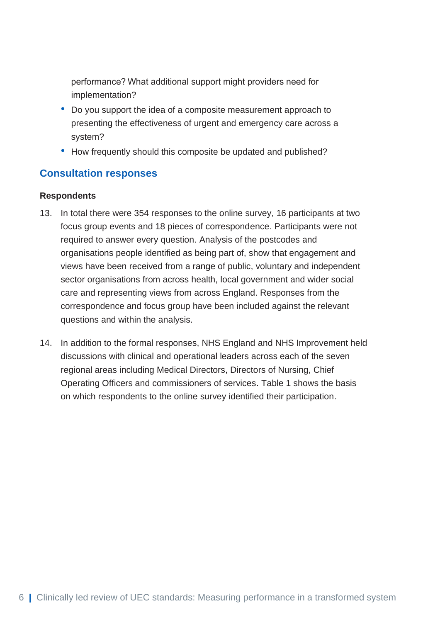performance? What additional support might providers need for implementation?

- Do you support the idea of a composite measurement approach to presenting the effectiveness of urgent and emergency care across a system?
- How frequently should this composite be updated and published?

# <span id="page-6-0"></span>**Consultation responses**

#### **Respondents**

- 13. In total there were 354 responses to the online survey, 16 participants at two focus group events and 18 pieces of correspondence. Participants were not required to answer every question. Analysis of the postcodes and organisations people identified as being part of, show that engagement and views have been received from a range of public, voluntary and independent sector organisations from across health, local government and wider social care and representing views from across England. Responses from the correspondence and focus group have been included against the relevant questions and within the analysis.
- 14. In addition to the formal responses, NHS England and NHS Improvement held discussions with clinical and operational leaders across each of the seven regional areas including Medical Directors, Directors of Nursing, Chief Operating Officers and commissioners of services. Table 1 shows the basis on which respondents to the online survey identified their participation.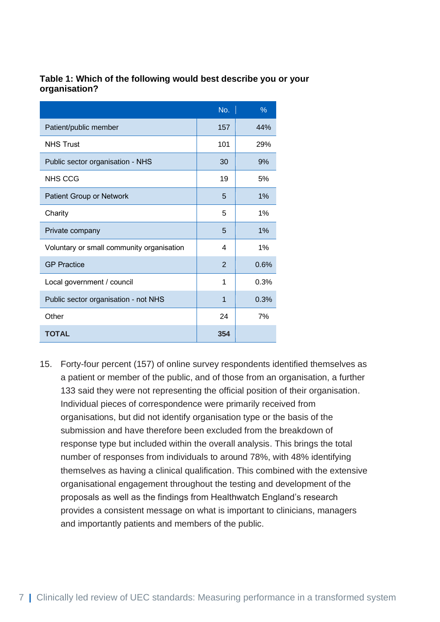#### **Table 1: Which of the following would best describe you or your organisation?**

|                                           | No. | %     |
|-------------------------------------------|-----|-------|
| Patient/public member                     | 157 | 44%   |
| <b>NHS Trust</b>                          | 101 | 29%   |
| Public sector organisation - NHS          | 30  | 9%    |
| NHS CCG                                   | 19  | 5%    |
| <b>Patient Group or Network</b>           | 5   | $1\%$ |
| Charity                                   | 5   | 1%    |
| Private company                           | 5   | 1%    |
| Voluntary or small community organisation | 4   | 1%    |
| <b>GP Practice</b>                        | 2   | 0.6%  |
| Local government / council                | 1   | 0.3%  |
| Public sector organisation - not NHS      | 1   | 0.3%  |
| Other                                     | 24  | 7%    |
| <b>TOTAL</b>                              | 354 |       |

15. Forty-four percent (157) of online survey respondents identified themselves as a patient or member of the public, and of those from an organisation, a further 133 said they were not representing the official position of their organisation. Individual pieces of correspondence were primarily received from organisations, but did not identify organisation type or the basis of the submission and have therefore been excluded from the breakdown of response type but included within the overall analysis. This brings the total number of responses from individuals to around 78%, with 48% identifying themselves as having a clinical qualification. This combined with the extensive organisational engagement throughout the testing and development of the proposals as well as the findings from Healthwatch England's research provides a consistent message on what is important to clinicians, managers and importantly patients and members of the public.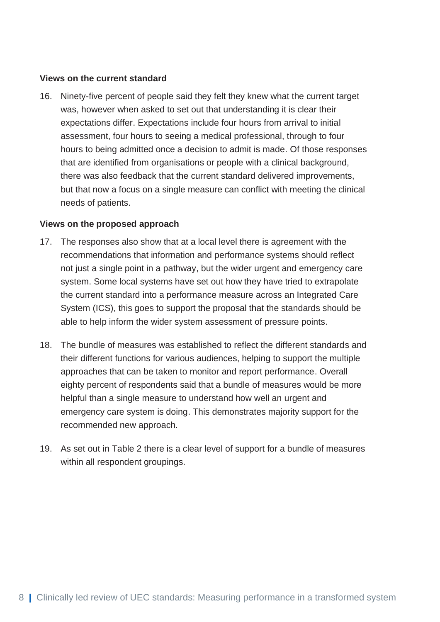#### **Views on the current standard**

16. Ninety-five percent of people said they felt they knew what the current target was, however when asked to set out that understanding it is clear their expectations differ. Expectations include four hours from arrival to initial assessment, four hours to seeing a medical professional, through to four hours to being admitted once a decision to admit is made. Of those responses that are identified from organisations or people with a clinical background, there was also feedback that the current standard delivered improvements, but that now a focus on a single measure can conflict with meeting the clinical needs of patients.

#### **Views on the proposed approach**

- 17. The responses also show that at a local level there is agreement with the recommendations that information and performance systems should reflect not just a single point in a pathway, but the wider urgent and emergency care system. Some local systems have set out how they have tried to extrapolate the current standard into a performance measure across an Integrated Care System (ICS), this goes to support the proposal that the standards should be able to help inform the wider system assessment of pressure points.
- 18. The bundle of measures was established to reflect the different standards and their different functions for various audiences, helping to support the multiple approaches that can be taken to monitor and report performance. Overall eighty percent of respondents said that a bundle of measures would be more helpful than a single measure to understand how well an urgent and emergency care system is doing. This demonstrates majority support for the recommended new approach.
- 19. As set out in Table 2 there is a clear level of support for a bundle of measures within all respondent groupings.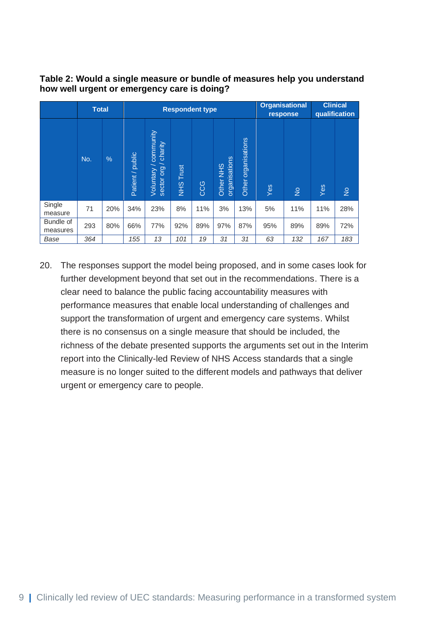#### **Table 2: Would a single measure or bundle of measures help you understand how well urgent or emergency care is doing?**

|                       | <b>Total</b> |               |                  |                                                            | <b>Respondent type</b> |     |                                      | <b>Organisational</b><br>response | <b>Clinical</b><br>qualification |                           |     |             |
|-----------------------|--------------|---------------|------------------|------------------------------------------------------------|------------------------|-----|--------------------------------------|-----------------------------------|----------------------------------|---------------------------|-----|-------------|
|                       | No.          | $\frac{9}{6}$ | Patient / public | community<br>charity<br><b>D.IO</b><br>Voluntary<br>sector | Trust<br><b>SHR</b>    | CCG | organisations<br><b>SHN</b><br>Other | organisations<br>Other o          | Yes                              | $\vert \frac{Q}{Z} \vert$ | Yes | $rac{1}{2}$ |
| Single<br>measure     | 71           | 20%           | 34%              | 23%                                                        | 8%                     | 11% | 3%                                   | 13%                               | 5%                               | 11%                       | 11% | 28%         |
| Bundle of<br>measures | 293          | 80%           | 66%              | 77%                                                        | 92%                    | 89% | 97%                                  | 87%                               | 95%                              | 89%                       | 89% | 72%         |
| Base                  | 364          |               | 155              | 13                                                         | 101                    | 19  | 31                                   | 31                                | 63                               | 132                       | 167 | 183         |

20. The responses support the model being proposed, and in some cases look for further development beyond that set out in the recommendations. There is a clear need to balance the public facing accountability measures with performance measures that enable local understanding of challenges and support the transformation of urgent and emergency care systems. Whilst there is no consensus on a single measure that should be included, the richness of the debate presented supports the arguments set out in the Interim report into the Clinically-led Review of NHS Access standards that a single measure is no longer suited to the different models and pathways that deliver urgent or emergency care to people.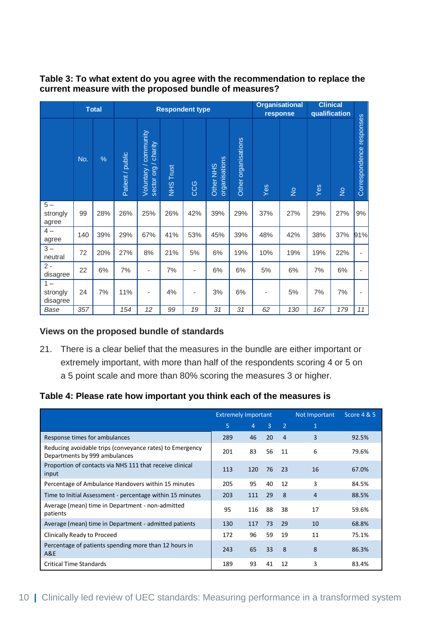

#### **Table 3: To what extent do you agree with the recommendation to replace the current measure with the proposed bundle of measures?**

#### **Views on the proposed bundle of standards**

21. There is a clear belief that the measures in the bundle are either important or extremely important, with more than half of the respondents scoring 4 or 5 on a 5 point scale and more than 80% scoring the measures 3 or higher.

#### **Table 4: Please rate how important you think each of the measures is**

|                                                                                           | <b>Extremely Important</b> |     |    |                | Not Important | Score 4 & 5 |
|-------------------------------------------------------------------------------------------|----------------------------|-----|----|----------------|---------------|-------------|
|                                                                                           | 5                          | 4   | 3  | $\overline{2}$ | $\mathbf{1}$  |             |
| Response times for ambulances                                                             | 289                        | 46  | 20 | $\overline{4}$ | 3             | 92.5%       |
| Reducing avoidable trips (conveyance rates) to Emergency<br>Departments by 999 ambulances | 201                        | 83  | 56 | 11             | 6             | 79.6%       |
| Proportion of contacts via NHS 111 that receive clinical<br>input                         | 113                        | 120 | 76 | 23             | 16            | 67.0%       |
| Percentage of Ambulance Handovers within 15 minutes                                       | 205                        | 95  | 40 | 12             | 3             | 84.5%       |
| Time to Initial Assessment - percentage within 15 minutes                                 | 203                        | 111 | 29 | 8              | 4             | 88.5%       |
| Average (mean) time in Department - non-admitted<br>patients                              | 95                         | 116 | 88 | 38             | 17            | 59.6%       |
| Average (mean) time in Department - admitted patients                                     | 130                        | 117 | 73 | 29             | 10            | 68.8%       |
| Clinically Ready to Proceed                                                               | 172                        | 96  | 59 | 19             | 11            | 75.1%       |
| Percentage of patients spending more than 12 hours in<br>A&E                              | 243                        | 65  | 33 | 8              | 8             | 86.3%       |
| <b>Critical Time Standards</b>                                                            | 189                        | 93  | 41 | 12             | 3             | 83.4%       |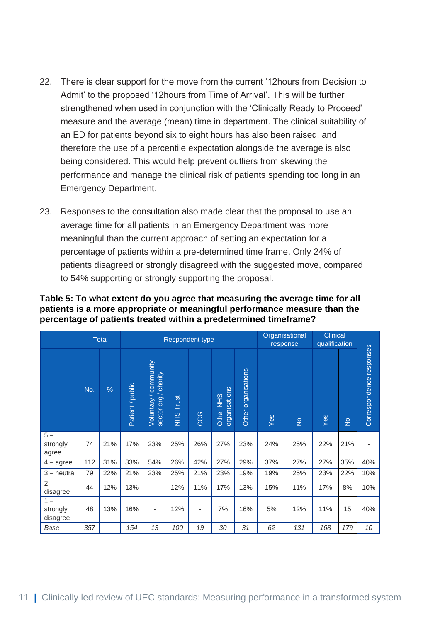- 22. There is clear support for the move from the current '12hours from Decision to Admit' to the proposed '12hours from Time of Arrival'. This will be further strengthened when used in conjunction with the 'Clinically Ready to Proceed' measure and the average (mean) time in department. The clinical suitability of an ED for patients beyond six to eight hours has also been raised, and therefore the use of a percentile expectation alongside the average is also being considered. This would help prevent outliers from skewing the performance and manage the clinical risk of patients spending too long in an Emergency Department.
- 23. Responses to the consultation also made clear that the proposal to use an average time for all patients in an Emergency Department was more meaningful than the current approach of setting an expectation for a percentage of patients within a pre-determined time frame. Only 24% of patients disagreed or strongly disagreed with the suggested move, compared to 54% supporting or strongly supporting the proposal.

#### **Table 5: To what extent do you agree that measuring the average time for all patients is a more appropriate or meaningful performance measure than the percentage of patients treated within a predetermined timeframe?**

|                               |     | <b>Total</b>  |                  |                                                  |                  | Respondent type |                            |                     |     | Organisational<br>response | <b>Clinical</b><br>qualification |               |                          |
|-------------------------------|-----|---------------|------------------|--------------------------------------------------|------------------|-----------------|----------------------------|---------------------|-----|----------------------------|----------------------------------|---------------|--------------------------|
|                               | No. | $\frac{9}{6}$ | Patient / public | Voluntary / community<br>/ charity<br>sector org | <b>NHS Trust</b> | CCG             | organisations<br>Other NHS | Other organisations | Yes | $\frac{1}{2}$              | Yes                              | $\frac{1}{2}$ | Correspondence responses |
| $5-$<br>strongly<br>agree     | 74  | 21%           | 17%              | 23%                                              | 25%              | 26%             | 27%                        | 23%                 | 24% | 25%                        | 22%                              | 21%           |                          |
| $4 - agree$                   | 112 | 31%           | 33%              | 54%                                              | 26%              | 42%             | 27%                        | 29%                 | 37% | 27%                        | 27%                              | 35%           | 40%                      |
| $3$ – neutral                 | 79  | 22%           | 21%              | 23%                                              | 25%              | 21%             | 23%                        | 19%                 | 19% | 25%                        | 23%                              | 22%           | 10%                      |
| $2 -$<br>disagree             | 44  | 12%           | 13%              |                                                  | 12%              | 11%             | 17%                        | 13%                 | 15% | 11%                        | 17%                              | 8%            | 10%                      |
| $1 -$<br>strongly<br>disagree | 48  | 13%           | 16%              |                                                  | 12%              |                 | 7%                         | 16%                 | 5%  | 12%                        | 11%                              | 15            | 40%                      |
| Base                          | 357 |               | 154              | 13                                               | 100              | 19              | 30                         | 31                  | 62  | 131                        | 168                              | 179           | 10                       |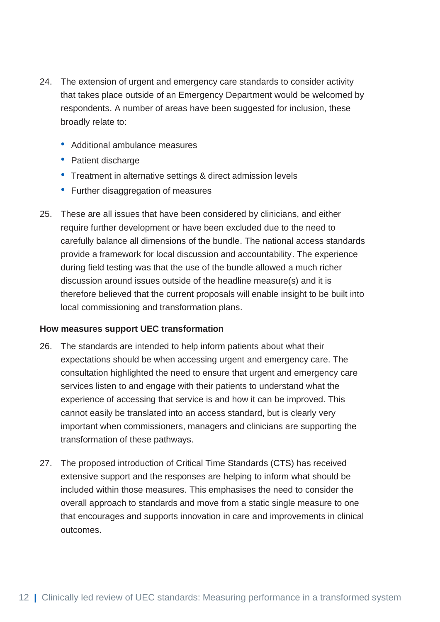- 24. The extension of urgent and emergency care standards to consider activity that takes place outside of an Emergency Department would be welcomed by respondents. A number of areas have been suggested for inclusion, these broadly relate to:
	- Additional ambulance measures
	- Patient discharge
	- Treatment in alternative settings & direct admission levels
	- Further disaggregation of measures
- 25. These are all issues that have been considered by clinicians, and either require further development or have been excluded due to the need to carefully balance all dimensions of the bundle. The national access standards provide a framework for local discussion and accountability. The experience during field testing was that the use of the bundle allowed a much richer discussion around issues outside of the headline measure(s) and it is therefore believed that the current proposals will enable insight to be built into local commissioning and transformation plans.

#### **How measures support UEC transformation**

- 26. The standards are intended to help inform patients about what their expectations should be when accessing urgent and emergency care. The consultation highlighted the need to ensure that urgent and emergency care services listen to and engage with their patients to understand what the experience of accessing that service is and how it can be improved. This cannot easily be translated into an access standard, but is clearly very important when commissioners, managers and clinicians are supporting the transformation of these pathways.
- 27. The proposed introduction of Critical Time Standards (CTS) has received extensive support and the responses are helping to inform what should be included within those measures. This emphasises the need to consider the overall approach to standards and move from a static single measure to one that encourages and supports innovation in care and improvements in clinical outcomes.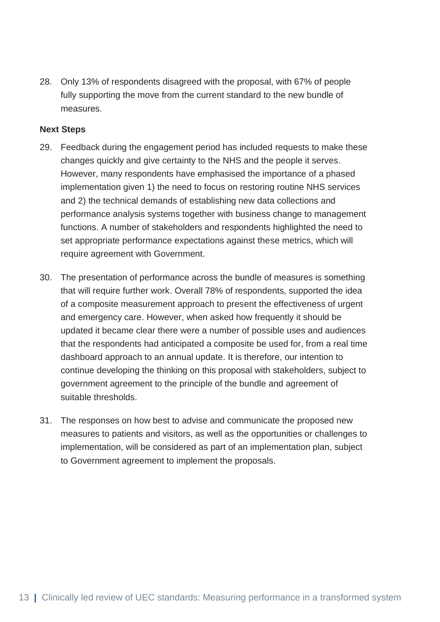28. Only 13% of respondents disagreed with the proposal, with 67% of people fully supporting the move from the current standard to the new bundle of measures.

#### **Next Steps**

- 29. Feedback during the engagement period has included requests to make these changes quickly and give certainty to the NHS and the people it serves. However, many respondents have emphasised the importance of a phased implementation given 1) the need to focus on restoring routine NHS services and 2) the technical demands of establishing new data collections and performance analysis systems together with business change to management functions. A number of stakeholders and respondents highlighted the need to set appropriate performance expectations against these metrics, which will require agreement with Government.
- 30. The presentation of performance across the bundle of measures is something that will require further work. Overall 78% of respondents, supported the idea of a composite measurement approach to present the effectiveness of urgent and emergency care. However, when asked how frequently it should be updated it became clear there were a number of possible uses and audiences that the respondents had anticipated a composite be used for, from a real time dashboard approach to an annual update. It is therefore, our intention to continue developing the thinking on this proposal with stakeholders, subject to government agreement to the principle of the bundle and agreement of suitable thresholds.
- 31. The responses on how best to advise and communicate the proposed new measures to patients and visitors, as well as the opportunities or challenges to implementation, will be considered as part of an implementation plan, subject to Government agreement to implement the proposals.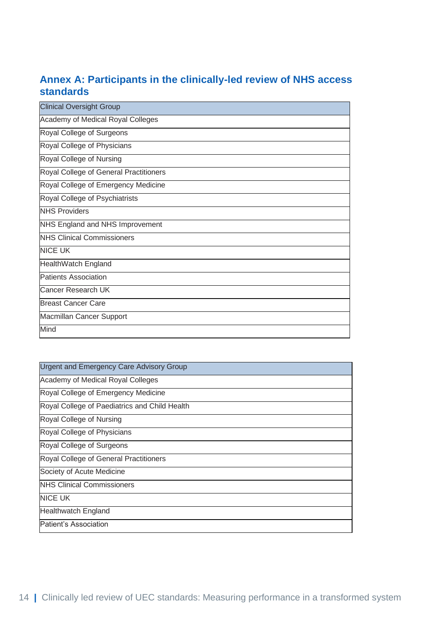# <span id="page-14-0"></span>**Annex A: Participants in the clinically-led review of NHS access standards**

| <b>Clinical Oversight Group</b>        |
|----------------------------------------|
| Academy of Medical Royal Colleges      |
| Royal College of Surgeons              |
| Royal College of Physicians            |
| Royal College of Nursing               |
| Royal College of General Practitioners |
| Royal College of Emergency Medicine    |
| Royal College of Psychiatrists         |
| <b>NHS Providers</b>                   |
| NHS England and NHS Improvement        |
| <b>NHS Clinical Commissioners</b>      |
| <b>NICE UK</b>                         |
| HealthWatch England                    |
| <b>Patients Association</b>            |
| Cancer Research UK                     |
| <b>Breast Cancer Care</b>              |
| Macmillan Cancer Support               |
| Mind                                   |

| <b>Urgent and Emergency Care Advisory Group</b> |
|-------------------------------------------------|
| Academy of Medical Royal Colleges               |
| Royal College of Emergency Medicine             |
| Royal College of Paediatrics and Child Health   |
| Royal College of Nursing                        |
| Royal College of Physicians                     |
| Royal College of Surgeons                       |
| Royal College of General Practitioners          |
| Society of Acute Medicine                       |
| <b>NHS Clinical Commissioners</b>               |
| <b>NICE UK</b>                                  |
| <b>Healthwatch England</b>                      |
| Patient's Association                           |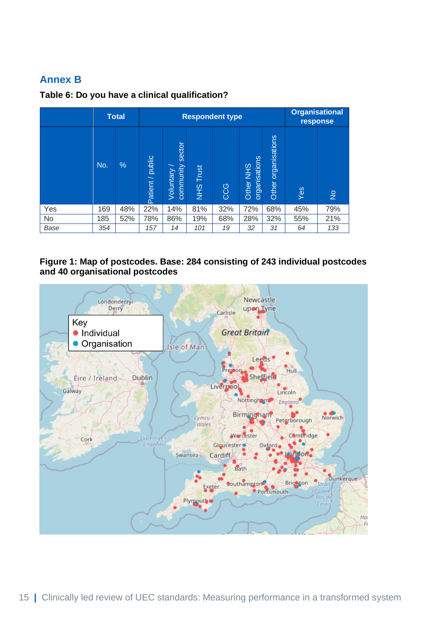# <span id="page-15-0"></span>**Annex B**

|      | <b>Total</b> |      |                     | <b>Respondent type</b>           | <b>Organisational</b><br>response |     |                                             |                        |     |               |
|------|--------------|------|---------------------|----------------------------------|-----------------------------------|-----|---------------------------------------------|------------------------|-----|---------------|
|      | No.          | $\%$ | public<br>Patient / | sector<br>community<br>Voluntary | Trust<br><b>SHN</b>               | CCG | <b>organisations</b><br><b>SHR</b><br>Other | organisations<br>Other | Yes | $\frac{1}{2}$ |
| Yes  | 169          | 48%  | 22%                 | 14%                              | 81%                               | 32% | 72%                                         | 68%                    | 45% | 79%           |
| No   | 185          | 52%  | 78%                 | 86%                              | 19%                               | 68% | 28%                                         | 32%                    | 55% | 21%           |
| Base | 354          |      | 157                 | 14                               | 101                               | 19  | 32                                          | 31                     | 64  | 133           |

#### **Table 6: Do you have a clinical qualification?**

#### **Figure 1: Map of postcodes. Base: 284 consisting of 243 individual postcodes and 40 organisational postcodes**

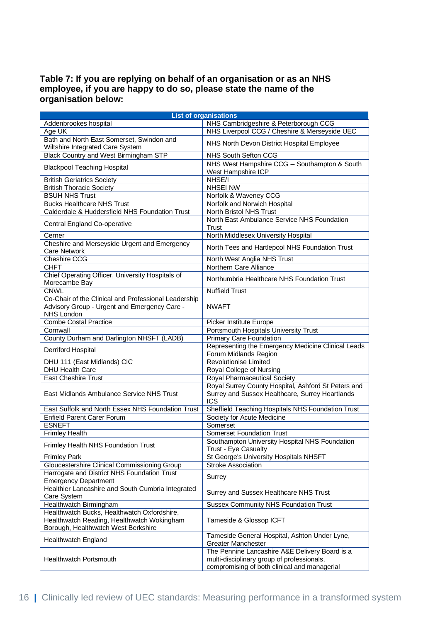#### **Table 7: If you are replying on behalf of an organisation or as an NHS employee, if you are happy to do so, please state the name of the organisation below:**

| <b>List of organisations</b>                                                                                              |                                                                                                                      |  |  |  |  |  |  |  |  |
|---------------------------------------------------------------------------------------------------------------------------|----------------------------------------------------------------------------------------------------------------------|--|--|--|--|--|--|--|--|
| Addenbrookes hospital                                                                                                     | NHS Cambridgeshire & Peterborough CCG                                                                                |  |  |  |  |  |  |  |  |
| Age UK                                                                                                                    | NHS Liverpool CCG / Cheshire & Merseyside UEC                                                                        |  |  |  |  |  |  |  |  |
| Bath and North East Somerset, Swindon and                                                                                 |                                                                                                                      |  |  |  |  |  |  |  |  |
| Wiltshire Integrated Care System                                                                                          | NHS North Devon District Hospital Employee                                                                           |  |  |  |  |  |  |  |  |
| Black Country and West Birmingham STP                                                                                     | NHS South Sefton CCG                                                                                                 |  |  |  |  |  |  |  |  |
|                                                                                                                           | NHS West Hampshire CCG - Southampton & South                                                                         |  |  |  |  |  |  |  |  |
| <b>Blackpool Teaching Hospital</b>                                                                                        | West Hampshire ICP                                                                                                   |  |  |  |  |  |  |  |  |
| <b>British Geriatrics Society</b>                                                                                         | NHSE/I                                                                                                               |  |  |  |  |  |  |  |  |
| <b>British Thoracic Society</b>                                                                                           | <b>NHSEI NW</b>                                                                                                      |  |  |  |  |  |  |  |  |
| <b>BSUH NHS Trust</b>                                                                                                     | Norfolk & Waveney CCG                                                                                                |  |  |  |  |  |  |  |  |
| <b>Bucks Healthcare NHS Trust</b>                                                                                         | Norfolk and Norwich Hospital                                                                                         |  |  |  |  |  |  |  |  |
| <b>Calderdale &amp; Huddersfield NHS Foundation Trust</b>                                                                 | <b>North Bristol NHS Trust</b>                                                                                       |  |  |  |  |  |  |  |  |
| Central England Co-operative                                                                                              | North East Ambulance Service NHS Foundation<br>Trust                                                                 |  |  |  |  |  |  |  |  |
| Cerner                                                                                                                    | North Middlesex University Hospital                                                                                  |  |  |  |  |  |  |  |  |
| Cheshire and Merseyside Urgent and Emergency<br>Care Network                                                              | North Tees and Hartlepool NHS Foundation Trust                                                                       |  |  |  |  |  |  |  |  |
| Cheshire CCG                                                                                                              | North West Anglia NHS Trust                                                                                          |  |  |  |  |  |  |  |  |
| <b>CHFT</b>                                                                                                               | Northern Care Alliance                                                                                               |  |  |  |  |  |  |  |  |
| Chief Operating Officer, University Hospitals of<br>Morecambe Bay                                                         | Northumbria Healthcare NHS Foundation Trust                                                                          |  |  |  |  |  |  |  |  |
| CNWL                                                                                                                      | <b>Nuffield Trust</b>                                                                                                |  |  |  |  |  |  |  |  |
| Co-Chair of the Clinical and Professional Leadership<br>Advisory Group - Urgent and Emergency Care -<br><b>NHS London</b> | <b>NWAFT</b>                                                                                                         |  |  |  |  |  |  |  |  |
| <b>Combe Costal Practice</b>                                                                                              | Picker Institute Europe                                                                                              |  |  |  |  |  |  |  |  |
| Cornwall                                                                                                                  | Portsmouth Hospitals University Trust                                                                                |  |  |  |  |  |  |  |  |
| County Durham and Darlington NHSFT (LADB)                                                                                 | <b>Primary Care Foundation</b>                                                                                       |  |  |  |  |  |  |  |  |
| <b>Derriford Hospital</b>                                                                                                 | Representing the Emergency Medicine Clinical Leads<br>Forum Midlands Region                                          |  |  |  |  |  |  |  |  |
| DHU 111 (East Midlands) CIC                                                                                               | <b>Revolutionise Limited</b>                                                                                         |  |  |  |  |  |  |  |  |
| <b>DHU Health Care</b>                                                                                                    | Royal College of Nursing                                                                                             |  |  |  |  |  |  |  |  |
| <b>East Cheshire Trust</b>                                                                                                | Royal Pharmaceutical Society                                                                                         |  |  |  |  |  |  |  |  |
| East Midlands Ambulance Service NHS Trust                                                                                 | Royal Surrey County Hospital, Ashford St Peters and<br>Surrey and Sussex Healthcare, Surrey Heartlands<br><b>ICS</b> |  |  |  |  |  |  |  |  |
| East Suffolk and North Essex NHS Foundation Trust                                                                         | Sheffield Teaching Hospitals NHS Foundation Trust                                                                    |  |  |  |  |  |  |  |  |
| <b>Enfield Parent Carer Forum</b>                                                                                         | Society for Acute Medicine                                                                                           |  |  |  |  |  |  |  |  |
| <b>ESNEFT</b>                                                                                                             | Somerset                                                                                                             |  |  |  |  |  |  |  |  |
| <b>Frimley Health</b>                                                                                                     | <b>Somerset Foundation Trust</b>                                                                                     |  |  |  |  |  |  |  |  |
| Frimley Health NHS Foundation Trust                                                                                       | Southampton University Hospital NHS Foundation<br>Trust - Eye Casualty                                               |  |  |  |  |  |  |  |  |
| <b>Frimley Park</b>                                                                                                       | St George's University Hospitals NHSFT                                                                               |  |  |  |  |  |  |  |  |
| Gloucestershire Clinical Commissioning Group                                                                              | <b>Stroke Association</b>                                                                                            |  |  |  |  |  |  |  |  |
| Harrogate and District NHS Foundation Trust                                                                               | Surrey                                                                                                               |  |  |  |  |  |  |  |  |
| <b>Emergency Department</b>                                                                                               |                                                                                                                      |  |  |  |  |  |  |  |  |
| Healthier Lancashire and South Cumbria Integrated<br>Care System                                                          | Surrey and Sussex Healthcare NHS Trust                                                                               |  |  |  |  |  |  |  |  |
| Healthwatch Birmingham                                                                                                    | <b>Sussex Community NHS Foundation Trust</b>                                                                         |  |  |  |  |  |  |  |  |
| Healthwatch Bucks, Healthwatch Oxfordshire,                                                                               |                                                                                                                      |  |  |  |  |  |  |  |  |
| Healthwatch Reading, Healthwatch Wokingham<br>Borough, Healthwatch West Berkshire                                         | Tameside & Glossop ICFT                                                                                              |  |  |  |  |  |  |  |  |
| Healthwatch England                                                                                                       | Tameside General Hospital, Ashton Under Lyne,<br><b>Greater Manchester</b>                                           |  |  |  |  |  |  |  |  |
|                                                                                                                           | The Pennine Lancashire A&E Delivery Board is a                                                                       |  |  |  |  |  |  |  |  |
| <b>Healthwatch Portsmouth</b>                                                                                             | multi-disciplinary group of professionals,<br>compromising of both clinical and managerial                           |  |  |  |  |  |  |  |  |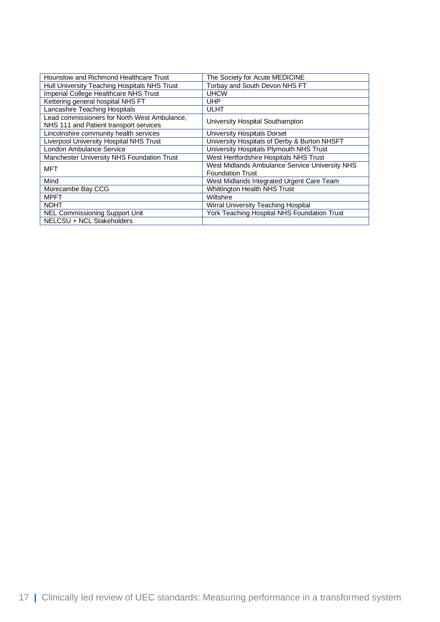| Hounslow and Richmond Healthcare Trust                                                 | The Society for Acute MEDICINE                                            |
|----------------------------------------------------------------------------------------|---------------------------------------------------------------------------|
| Hull University Teaching Hospitals NHS Trust                                           | Torbay and South Devon NHS FT                                             |
| Imperial College Healthcare NHS Trust                                                  | <b>UHCW</b>                                                               |
| Kettering general hospital NHS FT                                                      | <b>UHP</b>                                                                |
| Lancashire Teaching Hospitals                                                          | ULHT                                                                      |
| Lead commissioners for North West Ambulance,<br>NHS 111 and Patient transport services | University Hospital Southampton                                           |
| Lincolnshire community health services                                                 | University Hospitals Dorset                                               |
| Liverpool University Hospital NHS Trust                                                | University Hospitals of Derby & Burton NHSFT                              |
| London Ambulance Service                                                               | University Hospitals Plymouth NHS Trust                                   |
| Manchester University NHS Foundation Trust                                             | West Hertfordshire Hospitals NHS Trust                                    |
| <b>MFT</b>                                                                             | West Midlands Ambulance Service University NHS<br><b>Foundation Trust</b> |
| Mind                                                                                   | West Midlands Integrated Urgent Care Team                                 |
| Morecambe Bay CCG                                                                      | Whittington Health NHS Trust                                              |
| <b>MPFT</b>                                                                            | Wiltshire                                                                 |
| <b>NDHT</b>                                                                            | Wirral University Teaching Hospital                                       |
| NEL Commissioning Support Unit                                                         | York Teaching Hospital NHS Foundation Trust                               |
| NELCSU + NCL Stakeholders                                                              |                                                                           |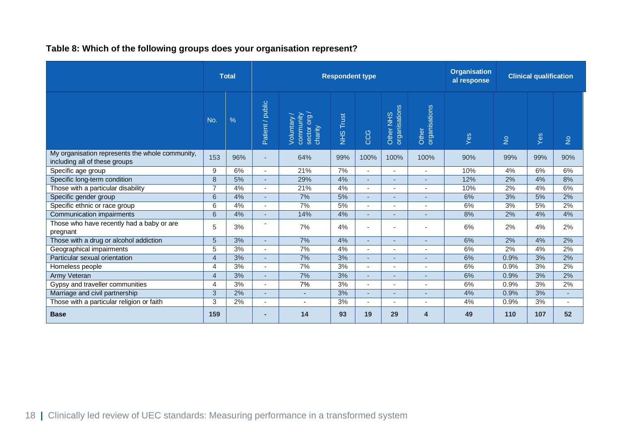# **Table 8: Which of the following groups does your organisation represent?**

|                                                                                  |                | <b>Total</b>  |                          |                                                   | <b>Respondent type</b> | <b>Organisation</b><br>al response | <b>Clinical qualification</b> |                          |     |               |     |                          |
|----------------------------------------------------------------------------------|----------------|---------------|--------------------------|---------------------------------------------------|------------------------|------------------------------------|-------------------------------|--------------------------|-----|---------------|-----|--------------------------|
|                                                                                  | No.            | $\frac{9}{6}$ | Patient / public         | community<br>sector org /<br>charity<br>Voluntary | <b>NHS Trust</b>       | CCG                                | organisations<br>Other NHS    | Other<br>organisations   | Yes | $\frac{1}{2}$ | Yes | $\frac{1}{2}$            |
| My organisation represents the whole community,<br>including all of these groups | 153            | 96%           | ٠                        | 64%                                               | 99%                    | 100%                               | 100%                          | 100%                     | 90% | 99%           | 99% | 90%                      |
| Specific age group                                                               | 9              | 6%            | $\blacksquare$           | 21%                                               | 7%                     |                                    |                               | ÷                        | 10% | 4%            | 6%  | 6%                       |
| Specific long-term condition                                                     | 8              | 5%            | ٠                        | 29%                                               | 4%                     |                                    |                               |                          | 12% | 2%            | 4%  | 8%                       |
| Those with a particular disability                                               | $\overline{7}$ | 4%            | $\blacksquare$           | 21%                                               | 4%                     | $\overline{\phantom{a}}$           |                               | $\overline{\phantom{a}}$ | 10% | 2%            | 4%  | 6%                       |
| Specific gender group                                                            | 6              | 4%            | $\overline{\phantom{0}}$ | 7%                                                | 5%                     | $\overline{a}$                     |                               |                          | 6%  | 3%            | 5%  | 2%                       |
| Specific ethnic or race group                                                    | 6              | 4%            | ٠                        | 7%                                                | 5%                     |                                    |                               |                          | 6%  | 3%            | 5%  | 2%                       |
| Communication impairments                                                        | 6              | 4%            | ٠                        | 14%                                               | 4%                     | $\overline{a}$                     |                               |                          | 8%  | 2%            | 4%  | 4%                       |
| Those who have recently had a baby or are<br>pregnant                            | 5              | 3%            | ۰                        | 7%                                                | 4%                     |                                    | $\overline{\phantom{a}}$      |                          | 6%  | 2%            | 4%  | 2%                       |
| Those with a drug or alcohol addiction                                           | 5              | 3%            | $\overline{\phantom{a}}$ | 7%                                                | 4%                     | ٠                                  | $\overline{\phantom{a}}$      | $\overline{\phantom{a}}$ | 6%  | 2%            | 4%  | 2%                       |
| Geographical impairments                                                         | 5              | 3%            | $\sim$                   | 7%                                                | 4%                     | $\overline{\phantom{a}}$           |                               | ٠                        | 6%  | 2%            | 4%  | 2%                       |
| Particular sexual orientation                                                    | $\overline{4}$ | 3%            | $\overline{\phantom{a}}$ | 7%                                                | 3%                     | $\overline{\phantom{a}}$           | $\overline{\phantom{a}}$      | $\overline{\phantom{a}}$ | 6%  | 0.9%          | 3%  | 2%                       |
| Homeless people                                                                  | 4              | 3%            | $\blacksquare$           | 7%                                                | 3%                     | $\overline{\phantom{a}}$           |                               |                          | 6%  | 0.9%          | 3%  | 2%                       |
| Army Veteran                                                                     | $\overline{4}$ | 3%            | $\blacksquare$           | 7%                                                | 3%                     | $\overline{\phantom{a}}$           | $\overline{\phantom{a}}$      | $\overline{\phantom{a}}$ | 6%  | 0.9%          | 3%  | 2%                       |
| Gypsy and traveller communities                                                  | 4              | 3%            | ÷.                       | 7%                                                | 3%                     | ÷                                  |                               | ÷                        | 6%  | 0.9%          | 3%  | 2%                       |
| Marriage and civil partnership                                                   | 3              | 2%            | $\blacksquare$           | $\blacksquare$                                    | 3%                     | ٠                                  | $\overline{\phantom{a}}$      | $\overline{a}$           | 4%  | 0.9%          | 3%  | $\overline{\phantom{a}}$ |
| Those with a particular religion or faith                                        | 3              | 2%            | ٠                        |                                                   | 3%                     | ٠                                  |                               |                          | 4%  | 0.9%          | 3%  | $\sim$                   |
| <b>Base</b>                                                                      | 159            |               |                          | 14                                                | 93                     | 19                                 | 29                            | 4                        | 49  | 110           | 107 | 52                       |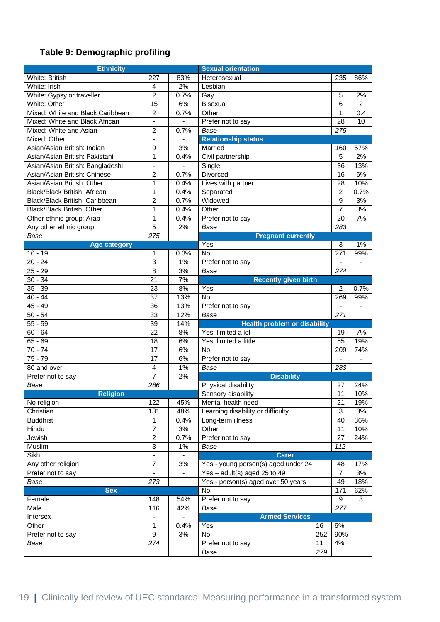# **Table 9: Demographic profiling**

| <b>Ethnicity</b>                 |                          |       | <b>Sexual orientation</b>           |     |                 |                |
|----------------------------------|--------------------------|-------|-------------------------------------|-----|-----------------|----------------|
| White: British                   | 227                      | 83%   | Heterosexual                        |     | 235             | 86%            |
| White: Irish                     | 4                        | 2%    | Lesbian                             |     |                 |                |
| White: Gypsy or traveller        | $\overline{c}$           | 0.7%  | Gay                                 |     | 5               | 2%             |
| White: Other                     | 15                       | 6%    | <b>Bisexual</b>                     |     | 6               | $\overline{2}$ |
| Mixed: White and Black Caribbean | $\overline{c}$           | 0.7%  | Other                               |     | 1               | 0.4            |
| Mixed: White and Black African   | $\blacksquare$           |       | Prefer not to say                   |     | 28              | 10             |
| Mixed: White and Asian           | $\overline{2}$           | 0.7%  | Base                                |     | 275             |                |
| Mixed: Other                     | $\blacksquare$           |       | <b>Relationship status</b>          |     |                 |                |
| Asian/Asian British: Indian      | 9                        | 3%    | Married                             |     | 160             | 57%            |
| Asian/Asian British: Pakistani   | 1                        | 0.4%  | Civil partnership                   |     | 5               | 2%             |
| Asian/Asian British: Bangladeshi | $\blacksquare$           |       | Single                              |     | 36              | 13%            |
| Asian/Asian British: Chinese     | $\overline{2}$           | 0.7%  | Divorced                            |     | 16              | 6%             |
| Asian/Asian British: Other       | 1                        | 0.4%  | Lives with partner                  |     | 28              | 10%            |
| Black/Black British: African     | 1                        | 0.4%  | Separated                           |     | $\overline{2}$  | 0.7%           |
| Black/Black British: Caribbean   | $\overline{2}$           | 0.7%  | Widowed                             |     | 9               | 3%             |
| Black/Black British: Other       | 1                        | 0.4%  | Other                               |     | $\overline{7}$  | 3%             |
| Other ethnic group: Arab         | 1                        | 0.4%  | Prefer not to say                   |     | 20              | 7%             |
| Any other ethnic group           | 5                        | 2%    | 283<br>Base                         |     |                 |                |
| Base                             | 275                      |       | <b>Pregnant currently</b>           |     |                 |                |
| <b>Age category</b>              |                          |       | Yes                                 |     | 3               | 1%             |
| $16 - 19$                        | 1                        | 0.3%  | No                                  |     | 271             | 99%            |
| $20 - 24$                        | 3                        | $1\%$ | Prefer not to say                   |     |                 |                |
| $25 - 29$                        | 8                        | 3%    | Base                                |     | 274             |                |
| $30 - 34$                        | 21                       | 7%    | <b>Recently given birth</b>         |     |                 |                |
| $35 - 39$                        | 23                       | 8%    | Yes                                 |     | $\overline{2}$  | 0.7%           |
| $40 - 44$                        | $\overline{37}$          | 13%   | No                                  |     | 269             | 99%            |
| $45 - 49$                        | 36                       | 13%   | Prefer not to say                   |     |                 |                |
| $50 - 54$                        | 33                       | 12%   | Base                                |     | 271             |                |
| $55 - 59$                        | $\overline{39}$          | 14%   | <b>Health problem or disability</b> |     |                 |                |
| $60 - 64$                        | 22                       | 8%    | Yes, limited a lot                  |     | 19              | 7%             |
| $65 - 69$                        | 18                       | 6%    | Yes, limited a little               |     | 55              | 19%            |
| $70 - 74$                        | 17                       | 6%    | No                                  |     | 209             | 74%            |
| $75 - 79$                        | 17                       | 6%    | Prefer not to say                   |     | $\mathbf{r}$    | $\blacksquare$ |
| 80 and over                      | $\overline{\mathbf{4}}$  | 1%    | Base                                |     | 283             |                |
| Prefer not to say                | $\overline{7}$           | 2%    | <b>Disability</b>                   |     |                 |                |
| Base                             | 286                      |       | Physical disability                 |     | 27              | 24%            |
| <b>Religion</b>                  |                          |       | Sensory disability                  |     | $\overline{11}$ | 10%            |
| No religion                      | 122                      | 45%   | Mental health need                  |     | 21              | 19%            |
| Christian                        | 131                      | 48%   | Learning disability or difficulty   |     | 3               | 3%             |
| <b>Buddhist</b>                  | 1                        | 0.4%  | Long-term illness                   |     | 40              | 36%            |
| Hindu                            | $\overline{7}$           | $3%$  | Other                               |     | 11              | 10%            |
| Jewish                           | $\overline{2}$           | 0.7%  | Prefer not to say                   |     | 27              | 24%            |
| Muslim                           | 3                        | 1%    | Base                                |     | 112             |                |
| Sikh                             | $\overline{\phantom{0}}$ |       | <b>Carer</b>                        |     |                 |                |
| Any other religion               | 7                        | 3%    | Yes - young person(s) aged under 24 |     | 48              | 17%            |
| Prefer not to say                | $\blacksquare$           |       | Yes $-$ adult(s) aged 25 to 49      |     | $\overline{7}$  | 3%             |
| Base                             | 273                      |       | Yes - person(s) aged over 50 years  |     | 49              | 18%            |
| <b>Sex</b>                       |                          |       | No                                  |     | 171             | 62%            |
| Female                           | 148                      | 54%   | Prefer not to say                   |     | 9               | 3              |
| Male                             | 116                      | 42%   | Base                                |     | 277             |                |
| Intersex                         |                          |       | <b>Armed Services</b>               |     |                 |                |
| Other                            | 1                        | 0.4%  | Yes                                 | 16  | 6%              |                |
| Prefer not to say                | 9                        | 3%    | No                                  | 252 | 90%             |                |
| Base                             | 274                      |       | Prefer not to say                   | 11  | 4%              |                |
|                                  |                          |       | Base                                | 279 |                 |                |